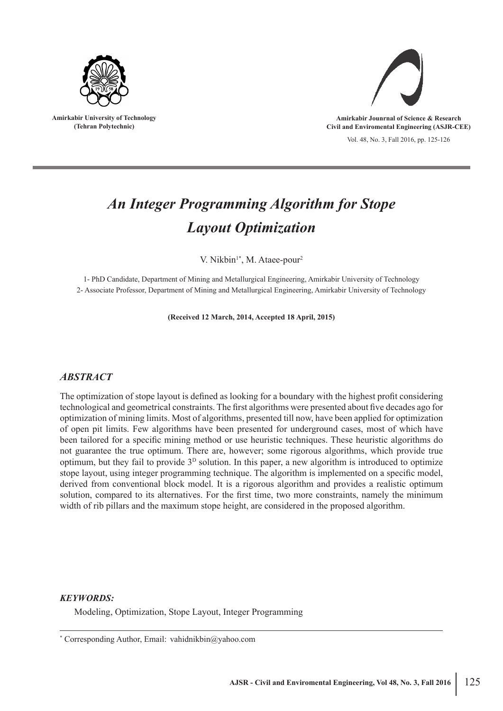

**Amirkabir University of Technology (Tehran Polytechnic)**



**Amirkabir Jounrnal of Science & Research Civil and Enviromental Engineering (ASJR-CEE)**

Vol. 48, No. 3, Fall 2016, pp. 125-126

# *An Integer Programming Algorithm for Stope Layout Optimization*

V. Nikbin<sup>1\*</sup>, M. Ataee-pour<sup>2</sup>

1- PhD Candidate, Department of Mining and Metallurgical Engineering, Amirkabir University of Technology 2- Associate Professor, Department of Mining and Metallurgical Engineering, Amirkabir University of Technology

**(Received 12 March, 2014, Accepted 18 April, 2015)**

## *ABSTRACT*

The optimization of stope layout is defined as looking for a boundary with the highest profit considering technological and geometrical constraints. The first algorithms were presented about five decades ago for optimization of mining limits. Most of algorithms, presented till now, have been applied for optimization of open pit limits. Few algorithms have been presented for underground cases, most of which have been tailored for a specific mining method or use heuristic techniques. These heuristic algorithms do not guarantee the true optimum. There are, however; some rigorous algorithms, which provide true optimum, but they fail to provide  $3<sup>D</sup>$  solution. In this paper, a new algorithm is introduced to optimize stope layout, using integer programming technique. The algorithm is implemented on a specific model, derived from conventional block model. It is a rigorous algorithm and provides a realistic optimum solution, compared to its alternatives. For the first time, two more constraints, namely the minimum width of rib pillars and the maximum stope height, are considered in the proposed algorithm.

#### *KEYWORDS:*

Modeling, Optimization, Stope Layout, Integer Programming

<sup>\*</sup> Corresponding Author, Email: vahidnikbin@yahoo.com